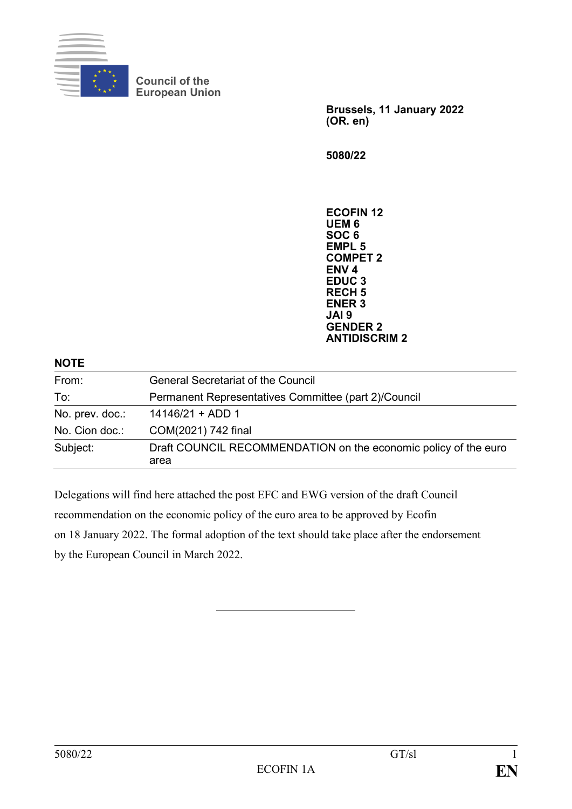

**Council of the European Union**

> **Brussels, 11 January 2022 (OR. en)**

**5080/22**

**ECOFIN 12 UEM 6 SOC 6 EMPL 5 COMPET 2 ENV 4 EDUC 3 RECH 5 ENER 3 JAI 9 GENDER 2 ANTIDISCRIM 2**

| <b>NOTE</b>     |                                                                         |
|-----------------|-------------------------------------------------------------------------|
| From:           | <b>General Secretariat of the Council</b>                               |
| To:             | Permanent Representatives Committee (part 2)/Council                    |
| No. prev. doc.: | $14146/21 + ADD 1$                                                      |
| No. Cion doc.:  | COM(2021) 742 final                                                     |
| Subject:        | Draft COUNCIL RECOMMENDATION on the economic policy of the euro<br>area |

Delegations will find here attached the post EFC and EWG version of the draft Council recommendation on the economic policy of the euro area to be approved by Ecofin on 18 January 2022. The formal adoption of the text should take place after the endorsement by the European Council in March 2022.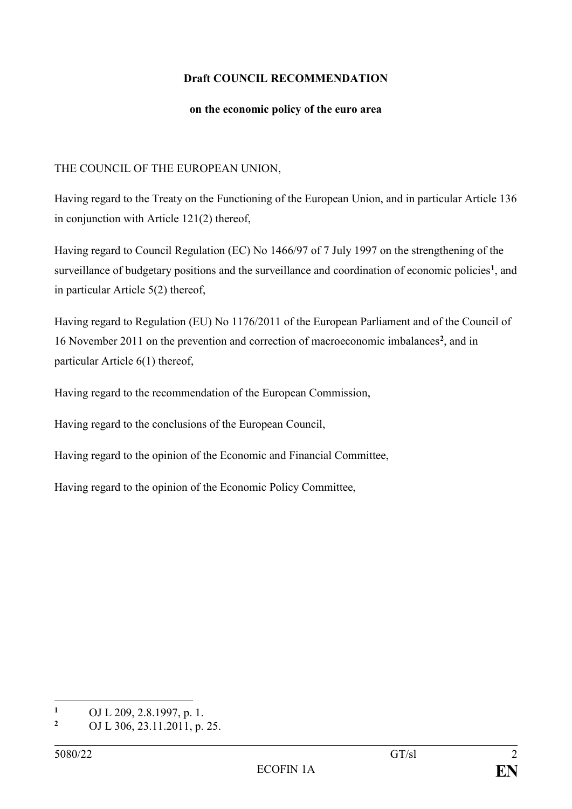## **Draft COUNCIL RECOMMENDATION**

## **on the economic policy of the euro area**

## THE COUNCIL OF THE EUROPEAN UNION,

Having regard to the Treaty on the Functioning of the European Union, and in particular Article 136 in conjunction with Article 121(2) thereof,

Having regard to Council Regulation (EC) No 1466/97 of 7 July 1997 on the strengthening of the surveillance of budgetary positions and the surveillance and coordination of economic policies<sup>1</sup>, and in particular Article 5(2) thereof,

Having regard to Regulation (EU) No 1176/2011 of the European Parliament and of the Council of 16 November 2011 on the prevention and correction of macroeconomic imbalances**<sup>2</sup>** , and in particular Article 6(1) thereof,

Having regard to the recommendation of the European Commission,

Having regard to the conclusions of the European Council,

Having regard to the opinion of the Economic and Financial Committee,

Having regard to the opinion of the Economic Policy Committee,

 $\mathbf{1}$ <sup>1</sup> OJ L 209, 2.8.1997, p. 1.<br><sup>2</sup> OJ L 206, 22, 11, 2011, p.

**<sup>2</sup>** OJ L 306, 23.11.2011, p. 25.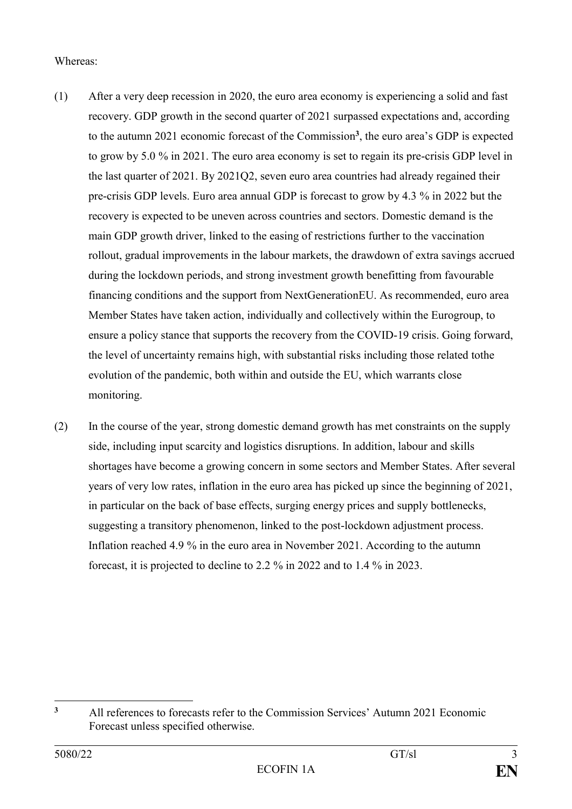## Whereas:

- (1) After a very deep recession in 2020, the euro area economy is experiencing a solid and fast recovery. GDP growth in the second quarter of 2021 surpassed expectations and, according to the autumn 2021 economic forecast of the Commission**<sup>3</sup>** , the euro area's GDP is expected to grow by 5.0 % in 2021. The euro area economy is set to regain its pre-crisis GDP level in the last quarter of 2021. By 2021Q2, seven euro area countries had already regained their pre-crisis GDP levels. Euro area annual GDP is forecast to grow by 4.3 % in 2022 but the recovery is expected to be uneven across countries and sectors. Domestic demand is the main GDP growth driver, linked to the easing of restrictions further to the vaccination rollout, gradual improvements in the labour markets, the drawdown of extra savings accrued during the lockdown periods, and strong investment growth benefitting from favourable financing conditions and the support from NextGenerationEU. As recommended, euro area Member States have taken action, individually and collectively within the Eurogroup, to ensure a policy stance that supports the recovery from the COVID-19 crisis. Going forward, the level of uncertainty remains high, with substantial risks including those related tothe evolution of the pandemic, both within and outside the EU, which warrants close monitoring.
- (2) In the course of the year, strong domestic demand growth has met constraints on the supply side, including input scarcity and logistics disruptions. In addition, labour and skills shortages have become a growing concern in some sectors and Member States. After several years of very low rates, inflation in the euro area has picked up since the beginning of 2021, in particular on the back of base effects, surging energy prices and supply bottlenecks, suggesting a transitory phenomenon, linked to the post-lockdown adjustment process. Inflation reached 4.9 % in the euro area in November 2021. According to the autumn forecast, it is projected to decline to 2.2 % in 2022 and to 1.4 % in 2023.

 $\overline{\mathbf{3}}$ **<sup>3</sup>** All references to forecasts refer to the Commission Services' Autumn 2021 Economic Forecast unless specified otherwise.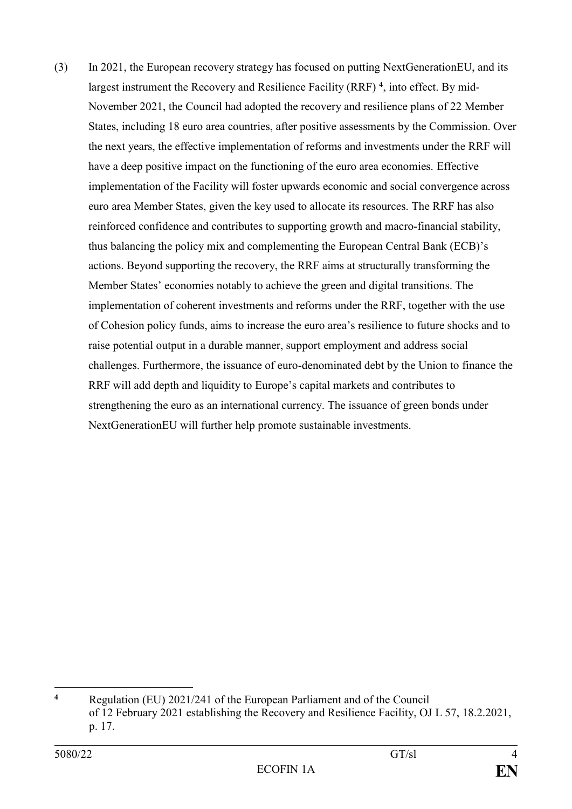(3) In 2021, the European recovery strategy has focused on putting NextGenerationEU, and its largest instrument the Recovery and Resilience Facility (RRF) **<sup>4</sup>** , into effect. By mid-November 2021, the Council had adopted the recovery and resilience plans of 22 Member States, including 18 euro area countries, after positive assessments by the Commission. Over the next years, the effective implementation of reforms and investments under the RRF will have a deep positive impact on the functioning of the euro area economies. Effective implementation of the Facility will foster upwards economic and social convergence across euro area Member States, given the key used to allocate its resources. The RRF has also reinforced confidence and contributes to supporting growth and macro-financial stability, thus balancing the policy mix and complementing the European Central Bank (ECB)'s actions. Beyond supporting the recovery, the RRF aims at structurally transforming the Member States' economies notably to achieve the green and digital transitions. The implementation of coherent investments and reforms under the RRF, together with the use of Cohesion policy funds, aims to increase the euro area's resilience to future shocks and to raise potential output in a durable manner, support employment and address social challenges. Furthermore, the issuance of euro-denominated debt by the Union to finance the RRF will add depth and liquidity to Europe's capital markets and contributes to strengthening the euro as an international currency. The issuance of green bonds under NextGenerationEU will further help promote sustainable investments.

<sup>1</sup> **<sup>4</sup>** Regulation (EU) 2021/241 of the European Parliament and of the Council of 12 February 2021 establishing the Recovery and Resilience Facility, OJ L 57, 18.2.2021, p. 17.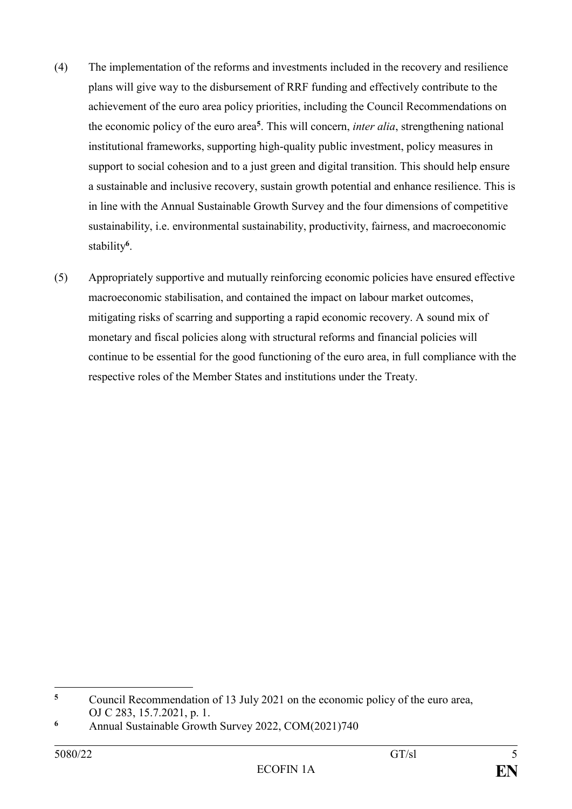- (4) The implementation of the reforms and investments included in the recovery and resilience plans will give way to the disbursement of RRF funding and effectively contribute to the achievement of the euro area policy priorities, including the Council Recommendations on the economic policy of the euro area**<sup>5</sup>** . This will concern, *inter alia*, strengthening national institutional frameworks, supporting high-quality public investment, policy measures in support to social cohesion and to a just green and digital transition. This should help ensure a sustainable and inclusive recovery, sustain growth potential and enhance resilience. This is in line with the Annual Sustainable Growth Survey and the four dimensions of competitive sustainability, i.e. environmental sustainability, productivity, fairness, and macroeconomic stability**<sup>6</sup>** .
- (5) Appropriately supportive and mutually reinforcing economic policies have ensured effective macroeconomic stabilisation, and contained the impact on labour market outcomes, mitigating risks of scarring and supporting a rapid economic recovery. A sound mix of monetary and fiscal policies along with structural reforms and financial policies will continue to be essential for the good functioning of the euro area, in full compliance with the respective roles of the Member States and institutions under the Treaty.

1

**<sup>5</sup>** Council Recommendation of 13 July 2021 on the economic policy of the euro area, OJ C 283, 15.7.2021, p. 1.

**<sup>6</sup>** Annual Sustainable Growth Survey 2022, COM(2021)740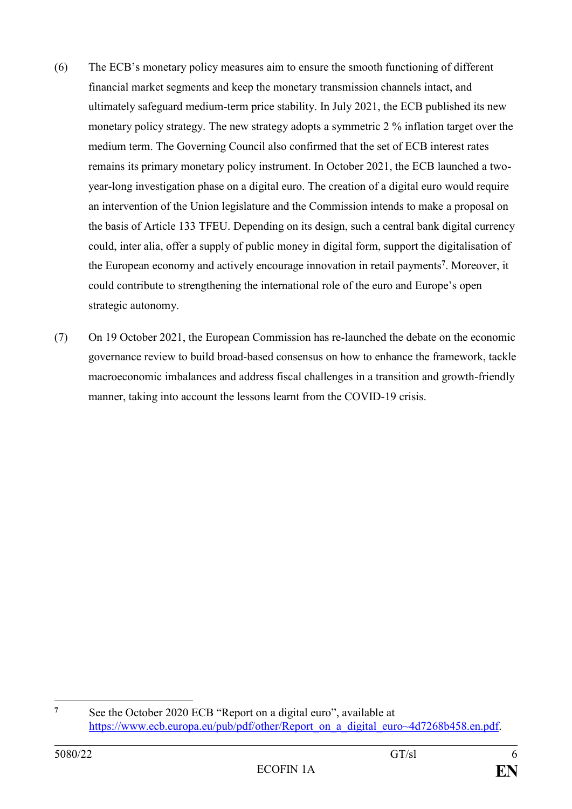- (6) The ECB's monetary policy measures aim to ensure the smooth functioning of different financial market segments and keep the monetary transmission channels intact, and ultimately safeguard medium-term price stability. In July 2021, the ECB published its new monetary policy strategy. The new strategy adopts a symmetric 2 % inflation target over the medium term. The Governing Council also confirmed that the set of ECB interest rates remains its primary monetary policy instrument. In October 2021, the ECB launched a twoyear-long investigation phase on a digital euro. The creation of a digital euro would require an intervention of the Union legislature and the Commission intends to make a proposal on the basis of Article 133 TFEU. Depending on its design, such a central bank digital currency could, inter alia, offer a supply of public money in digital form, support the digitalisation of the European economy and actively encourage innovation in retail payments**<sup>7</sup>** . Moreover, it could contribute to strengthening the international role of the euro and Europe's open strategic autonomy.
- (7) On 19 October 2021, the European Commission has re-launched the debate on the economic governance review to build broad-based consensus on how to enhance the framework, tackle macroeconomic imbalances and address fiscal challenges in a transition and growth-friendly manner, taking into account the lessons learnt from the COVID-19 crisis.

 $\overline{7}$ **<sup>7</sup>** See the October 2020 ECB "Report on a digital euro", available at [https://www.ecb.europa.eu/pub/pdf/other/Report\\_on\\_a\\_digital\\_euro~4d7268b458.en.pdf.](https://www.ecb.europa.eu/pub/pdf/other/Report_on_a_digital_euro~4d7268b458.en.pdf)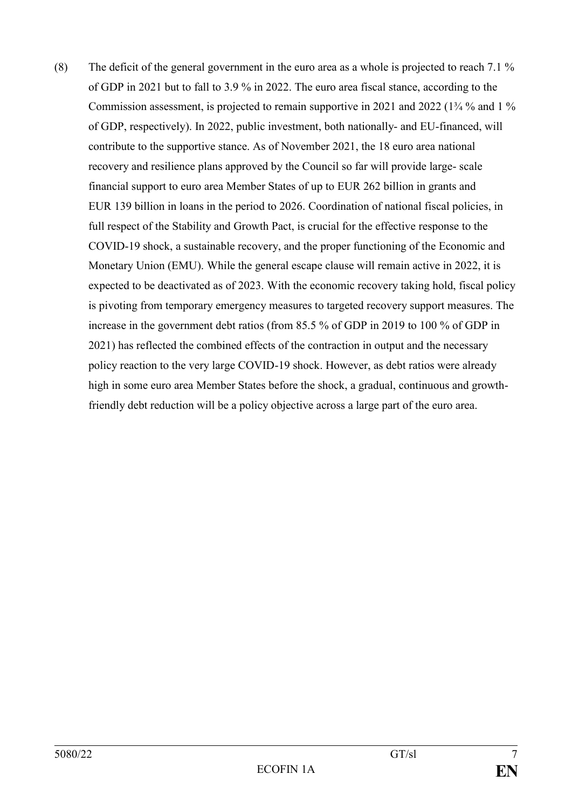(8) The deficit of the general government in the euro area as a whole is projected to reach 7.1 % of GDP in 2021 but to fall to 3.9 % in 2022. The euro area fiscal stance, according to the Commission assessment, is projected to remain supportive in 2021 and 2022 (1¾ % and 1 % of GDP, respectively). In 2022, public investment, both nationally- and EU-financed, will contribute to the supportive stance. As of November 2021, the 18 euro area national recovery and resilience plans approved by the Council so far will provide large- scale financial support to euro area Member States of up to EUR 262 billion in grants and EUR 139 billion in loans in the period to 2026. Coordination of national fiscal policies, in full respect of the Stability and Growth Pact, is crucial for the effective response to the COVID-19 shock, a sustainable recovery, and the proper functioning of the Economic and Monetary Union (EMU). While the general escape clause will remain active in 2022, it is expected to be deactivated as of 2023. With the economic recovery taking hold, fiscal policy is pivoting from temporary emergency measures to targeted recovery support measures. The increase in the government debt ratios (from 85.5 % of GDP in 2019 to 100 % of GDP in 2021) has reflected the combined effects of the contraction in output and the necessary policy reaction to the very large COVID-19 shock. However, as debt ratios were already high in some euro area Member States before the shock, a gradual, continuous and growthfriendly debt reduction will be a policy objective across a large part of the euro area.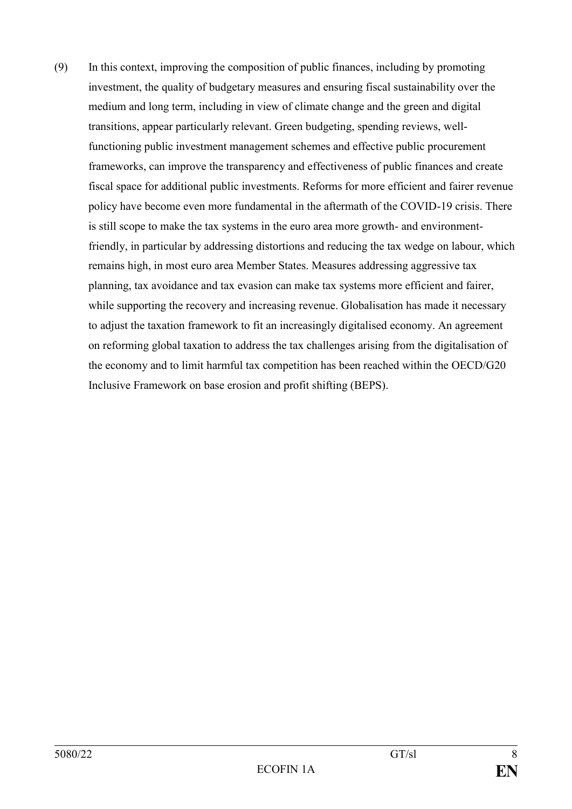(9) In this context, improving the composition of public finances, including by promoting investment, the quality of budgetary measures and ensuring fiscal sustainability over the medium and long term, including in view of climate change and the green and digital transitions, appear particularly relevant. Green budgeting, spending reviews, wellfunctioning public investment management schemes and effective public procurement frameworks, can improve the transparency and effectiveness of public finances and create fiscal space for additional public investments. Reforms for more efficient and fairer revenue policy have become even more fundamental in the aftermath of the COVID-19 crisis. There is still scope to make the tax systems in the euro area more growth- and environmentfriendly, in particular by addressing distortions and reducing the tax wedge on labour, which remains high, in most euro area Member States. Measures addressing aggressive tax planning, tax avoidance and tax evasion can make tax systems more efficient and fairer, while supporting the recovery and increasing revenue. Globalisation has made it necessary to adjust the taxation framework to fit an increasingly digitalised economy. An agreement on reforming global taxation to address the tax challenges arising from the digitalisation of the economy and to limit harmful tax competition has been reached within the OECD/G20 Inclusive Framework on base erosion and profit shifting (BEPS).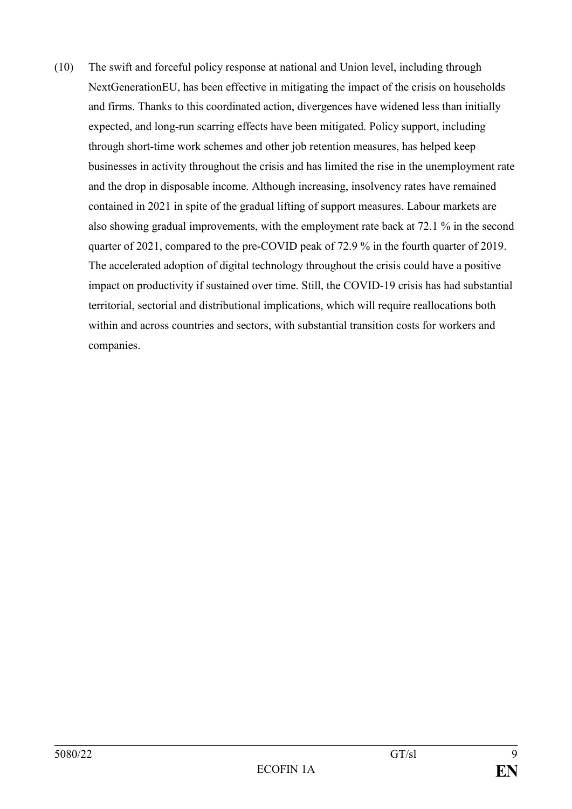(10) The swift and forceful policy response at national and Union level, including through NextGenerationEU, has been effective in mitigating the impact of the crisis on households and firms. Thanks to this coordinated action, divergences have widened less than initially expected, and long-run scarring effects have been mitigated. Policy support, including through short-time work schemes and other job retention measures, has helped keep businesses in activity throughout the crisis and has limited the rise in the unemployment rate and the drop in disposable income. Although increasing, insolvency rates have remained contained in 2021 in spite of the gradual lifting of support measures. Labour markets are also showing gradual improvements, with the employment rate back at 72.1 % in the second quarter of 2021, compared to the pre-COVID peak of 72.9 % in the fourth quarter of 2019. The accelerated adoption of digital technology throughout the crisis could have a positive impact on productivity if sustained over time. Still, the COVID-19 crisis has had substantial territorial, sectorial and distributional implications, which will require reallocations both within and across countries and sectors, with substantial transition costs for workers and companies.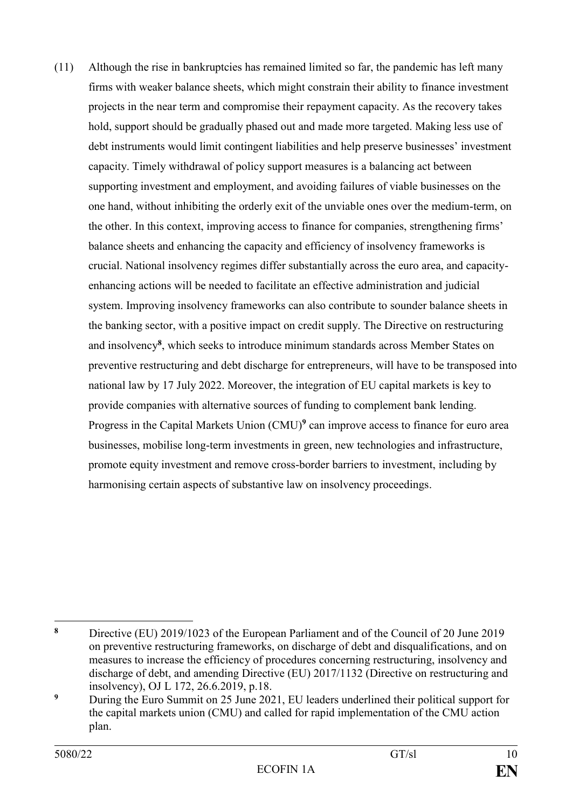(11) Although the rise in bankruptcies has remained limited so far, the pandemic has left many firms with weaker balance sheets, which might constrain their ability to finance investment projects in the near term and compromise their repayment capacity. As the recovery takes hold, support should be gradually phased out and made more targeted. Making less use of debt instruments would limit contingent liabilities and help preserve businesses' investment capacity. Timely withdrawal of policy support measures is a balancing act between supporting investment and employment, and avoiding failures of viable businesses on the one hand, without inhibiting the orderly exit of the unviable ones over the medium-term, on the other. In this context, improving access to finance for companies, strengthening firms' balance sheets and enhancing the capacity and efficiency of insolvency frameworks is crucial. National insolvency regimes differ substantially across the euro area, and capacityenhancing actions will be needed to facilitate an effective administration and judicial system. Improving insolvency frameworks can also contribute to sounder balance sheets in the banking sector, with a positive impact on credit supply. The Directive on restructuring and insolvency**<sup>8</sup>** , which seeks to introduce minimum standards across Member States on preventive restructuring and debt discharge for entrepreneurs, will have to be transposed into national law by 17 July 2022. Moreover, the integration of EU capital markets is key to provide companies with alternative sources of funding to complement bank lending. Progress in the Capital Markets Union (CMU)<sup>9</sup> can improve access to finance for euro area businesses, mobilise long-term investments in green, new technologies and infrastructure, promote equity investment and remove cross-border barriers to investment, including by harmonising certain aspects of substantive law on insolvency proceedings.

 $\bf{8}$ **<sup>8</sup>** Directive (EU) 2019/1023 of the European Parliament and of the Council of 20 June 2019 on preventive restructuring frameworks, on discharge of debt and disqualifications, and on measures to increase the efficiency of procedures concerning restructuring, insolvency and discharge of debt, and amending Directive (EU) 2017/1132 (Directive on restructuring and insolvency), OJ L 172, 26.6.2019, p.18.

<sup>&</sup>lt;sup>9</sup> During the Euro Summit on 25 June 2021, EU leaders underlined their political support for the capital markets union (CMU) and called for rapid implementation of the CMU action plan.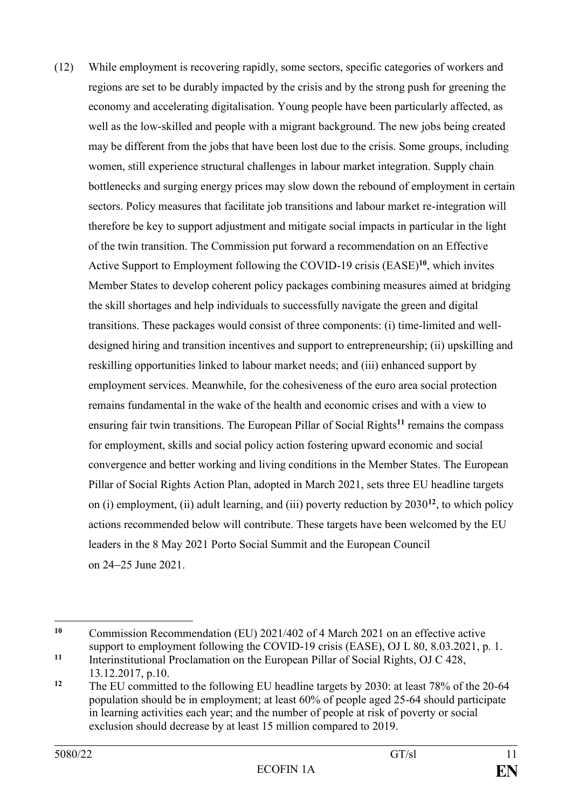(12) While employment is recovering rapidly, some sectors, specific categories of workers and regions are set to be durably impacted by the crisis and by the strong push for greening the economy and accelerating digitalisation. Young people have been particularly affected, as well as the low-skilled and people with a migrant background. The new jobs being created may be different from the jobs that have been lost due to the crisis. Some groups, including women, still experience structural challenges in labour market integration. Supply chain bottlenecks and surging energy prices may slow down the rebound of employment in certain sectors. Policy measures that facilitate job transitions and labour market re-integration will therefore be key to support adjustment and mitigate social impacts in particular in the light of the twin transition. The Commission put forward a recommendation on an Effective Active Support to Employment following the COVID-19 crisis (EASE)**<sup>10</sup>**, which invites Member States to develop coherent policy packages combining measures aimed at bridging the skill shortages and help individuals to successfully navigate the green and digital transitions. These packages would consist of three components: (i) time-limited and welldesigned hiring and transition incentives and support to entrepreneurship; (ii) upskilling and reskilling opportunities linked to labour market needs; and (iii) enhanced support by employment services. Meanwhile, for the cohesiveness of the euro area social protection remains fundamental in the wake of the health and economic crises and with a view to ensuring fair twin transitions. The European Pillar of Social Rights**<sup>11</sup>** remains the compass for employment, skills and social policy action fostering upward economic and social convergence and better working and living conditions in the Member States. The European Pillar of Social Rights Action Plan, adopted in March 2021, sets three EU headline targets on (i) employment, (ii) adult learning, and (iii) poverty reduction by 2030**<sup>12</sup>**, to which policy actions recommended below will contribute. These targets have been welcomed by the EU leaders in the 8 May 2021 Porto Social Summit and the European Council on 24‒25 June 2021.

<sup>1</sup> **<sup>10</sup>** Commission Recommendation (EU) 2021/402 of 4 March 2021 on an effective active support to employment following the COVID-19 crisis (EASE), OJ L 80, 8,03,2021, p. 1.

**<sup>11</sup>** Interinstitutional Proclamation on the European Pillar of Social Rights, OJ C 428, 13.12.2017, p.10.

**<sup>12</sup>** The EU committed to the following EU headline targets by 2030: at least 78% of the 20-64 population should be in employment; at least 60% of people aged 25-64 should participate in learning activities each year; and the number of people at risk of poverty or social exclusion should decrease by at least 15 million compared to 2019.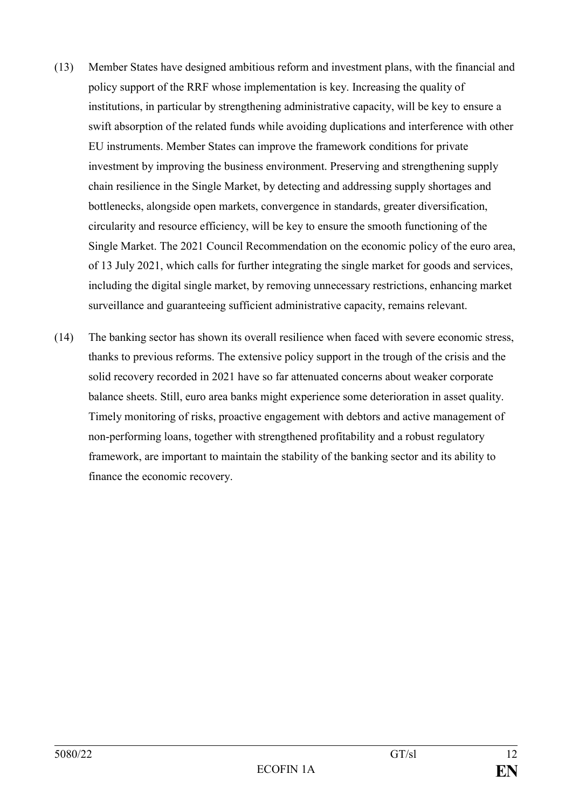- (13) Member States have designed ambitious reform and investment plans, with the financial and policy support of the RRF whose implementation is key. Increasing the quality of institutions, in particular by strengthening administrative capacity, will be key to ensure a swift absorption of the related funds while avoiding duplications and interference with other EU instruments. Member States can improve the framework conditions for private investment by improving the business environment. Preserving and strengthening supply chain resilience in the Single Market, by detecting and addressing supply shortages and bottlenecks, alongside open markets, convergence in standards, greater diversification, circularity and resource efficiency, will be key to ensure the smooth functioning of the Single Market. The 2021 Council Recommendation on the economic policy of the euro area, of 13 July 2021, which calls for further integrating the single market for goods and services, including the digital single market, by removing unnecessary restrictions, enhancing market surveillance and guaranteeing sufficient administrative capacity, remains relevant.
- (14) The banking sector has shown its overall resilience when faced with severe economic stress, thanks to previous reforms. The extensive policy support in the trough of the crisis and the solid recovery recorded in 2021 have so far attenuated concerns about weaker corporate balance sheets. Still, euro area banks might experience some deterioration in asset quality. Timely monitoring of risks, proactive engagement with debtors and active management of non-performing loans, together with strengthened profitability and a robust regulatory framework, are important to maintain the stability of the banking sector and its ability to finance the economic recovery.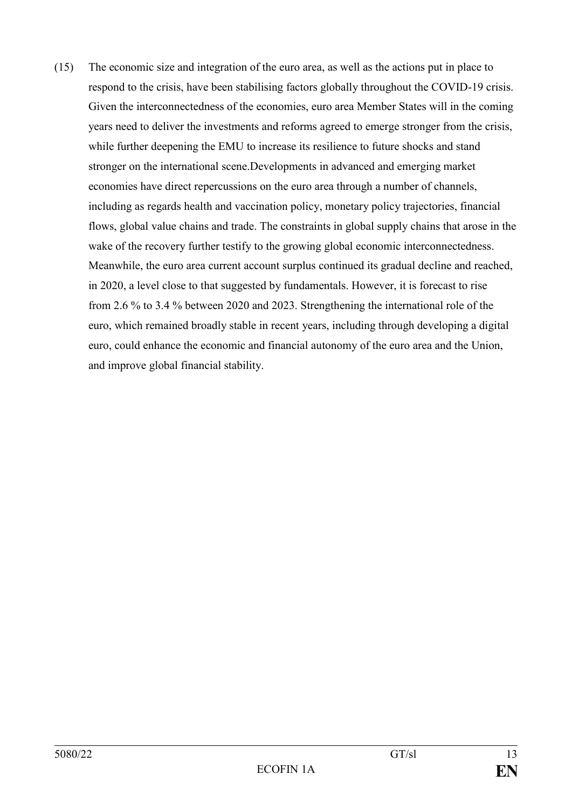(15) The economic size and integration of the euro area, as well as the actions put in place to respond to the crisis, have been stabilising factors globally throughout the COVID-19 crisis. Given the interconnectedness of the economies, euro area Member States will in the coming years need to deliver the investments and reforms agreed to emerge stronger from the crisis, while further deepening the EMU to increase its resilience to future shocks and stand stronger on the international scene.Developments in advanced and emerging market economies have direct repercussions on the euro area through a number of channels, including as regards health and vaccination policy, monetary policy trajectories, financial flows, global value chains and trade. The constraints in global supply chains that arose in the wake of the recovery further testify to the growing global economic interconnectedness. Meanwhile, the euro area current account surplus continued its gradual decline and reached, in 2020, a level close to that suggested by fundamentals. However, it is forecast to rise from 2.6 % to 3.4 % between 2020 and 2023. Strengthening the international role of the euro, which remained broadly stable in recent years, including through developing a digital euro, could enhance the economic and financial autonomy of the euro area and the Union, and improve global financial stability.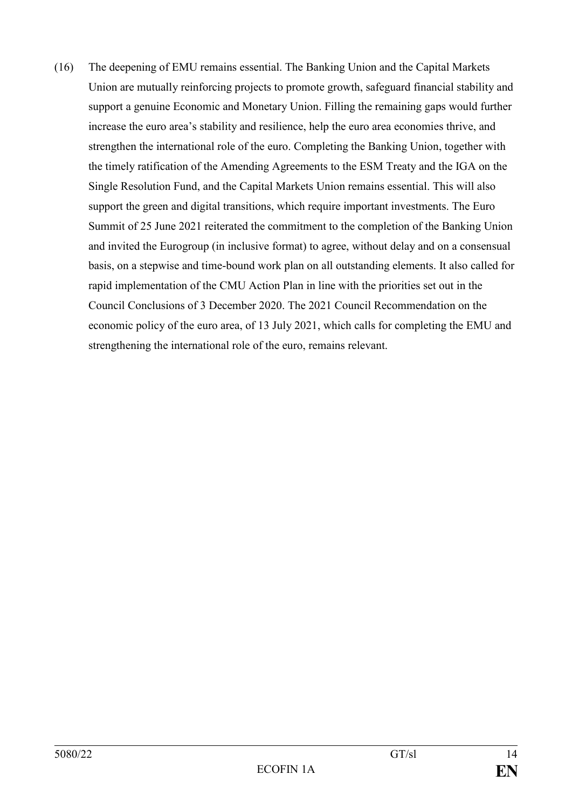(16) The deepening of EMU remains essential. The Banking Union and the Capital Markets Union are mutually reinforcing projects to promote growth, safeguard financial stability and support a genuine Economic and Monetary Union. Filling the remaining gaps would further increase the euro area's stability and resilience, help the euro area economies thrive, and strengthen the international role of the euro. Completing the Banking Union, together with the timely ratification of the Amending Agreements to the ESM Treaty and the IGA on the Single Resolution Fund, and the Capital Markets Union remains essential. This will also support the green and digital transitions, which require important investments. The Euro Summit of 25 June 2021 reiterated the commitment to the completion of the Banking Union and invited the Eurogroup (in inclusive format) to agree, without delay and on a consensual basis, on a stepwise and time-bound work plan on all outstanding elements. It also called for rapid implementation of the CMU Action Plan in line with the priorities set out in the Council Conclusions of 3 December 2020. The 2021 Council Recommendation on the economic policy of the euro area, of 13 July 2021, which calls for completing the EMU and strengthening the international role of the euro, remains relevant.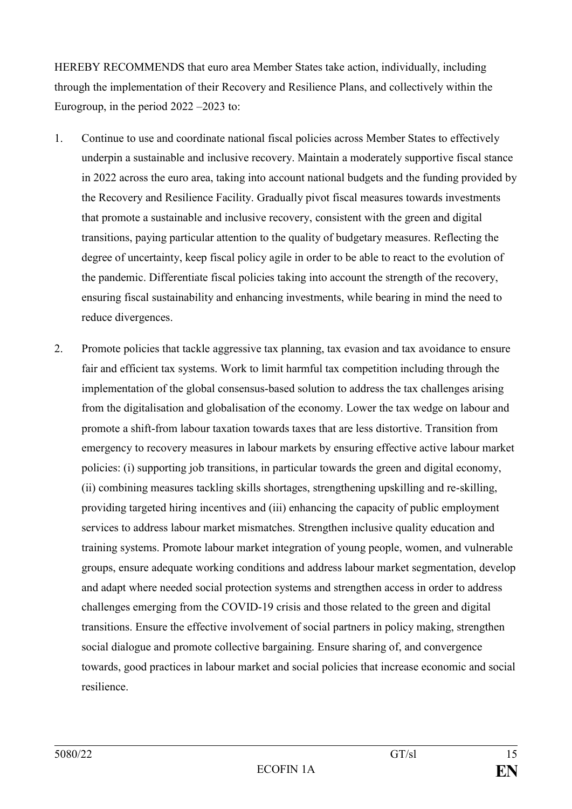HEREBY RECOMMENDS that euro area Member States take action, individually, including through the implementation of their Recovery and Resilience Plans, and collectively within the Eurogroup, in the period 2022 –2023 to:

- 1. Continue to use and coordinate national fiscal policies across Member States to effectively underpin a sustainable and inclusive recovery. Maintain a moderately supportive fiscal stance in 2022 across the euro area, taking into account national budgets and the funding provided by the Recovery and Resilience Facility. Gradually pivot fiscal measures towards investments that promote a sustainable and inclusive recovery, consistent with the green and digital transitions, paying particular attention to the quality of budgetary measures. Reflecting the degree of uncertainty, keep fiscal policy agile in order to be able to react to the evolution of the pandemic. Differentiate fiscal policies taking into account the strength of the recovery, ensuring fiscal sustainability and enhancing investments, while bearing in mind the need to reduce divergences.
- 2. Promote policies that tackle aggressive tax planning, tax evasion and tax avoidance to ensure fair and efficient tax systems. Work to limit harmful tax competition including through the implementation of the global consensus-based solution to address the tax challenges arising from the digitalisation and globalisation of the economy. Lower the tax wedge on labour and promote a shift-from labour taxation towards taxes that are less distortive. Transition from emergency to recovery measures in labour markets by ensuring effective active labour market policies: (i) supporting job transitions, in particular towards the green and digital economy, (ii) combining measures tackling skills shortages, strengthening upskilling and re-skilling, providing targeted hiring incentives and (iii) enhancing the capacity of public employment services to address labour market mismatches. Strengthen inclusive quality education and training systems. Promote labour market integration of young people, women, and vulnerable groups, ensure adequate working conditions and address labour market segmentation, develop and adapt where needed social protection systems and strengthen access in order to address challenges emerging from the COVID-19 crisis and those related to the green and digital transitions. Ensure the effective involvement of social partners in policy making, strengthen social dialogue and promote collective bargaining. Ensure sharing of, and convergence towards, good practices in labour market and social policies that increase economic and social resilience.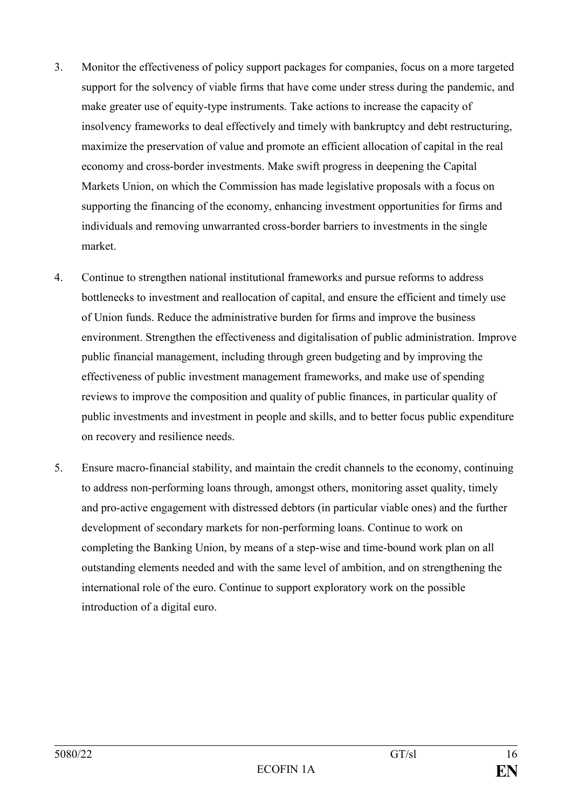- 3. Monitor the effectiveness of policy support packages for companies, focus on a more targeted support for the solvency of viable firms that have come under stress during the pandemic, and make greater use of equity-type instruments. Take actions to increase the capacity of insolvency frameworks to deal effectively and timely with bankruptcy and debt restructuring, maximize the preservation of value and promote an efficient allocation of capital in the real economy and cross-border investments. Make swift progress in deepening the Capital Markets Union, on which the Commission has made legislative proposals with a focus on supporting the financing of the economy, enhancing investment opportunities for firms and individuals and removing unwarranted cross-border barriers to investments in the single market.
- 4. Continue to strengthen national institutional frameworks and pursue reforms to address bottlenecks to investment and reallocation of capital, and ensure the efficient and timely use of Union funds. Reduce the administrative burden for firms and improve the business environment. Strengthen the effectiveness and digitalisation of public administration. Improve public financial management, including through green budgeting and by improving the effectiveness of public investment management frameworks, and make use of spending reviews to improve the composition and quality of public finances, in particular quality of public investments and investment in people and skills, and to better focus public expenditure on recovery and resilience needs.
- 5. Ensure macro-financial stability, and maintain the credit channels to the economy, continuing to address non-performing loans through, amongst others, monitoring asset quality, timely and pro-active engagement with distressed debtors (in particular viable ones) and the further development of secondary markets for non-performing loans. Continue to work on completing the Banking Union, by means of a step-wise and time-bound work plan on all outstanding elements needed and with the same level of ambition, and on strengthening the international role of the euro. Continue to support exploratory work on the possible introduction of a digital euro.